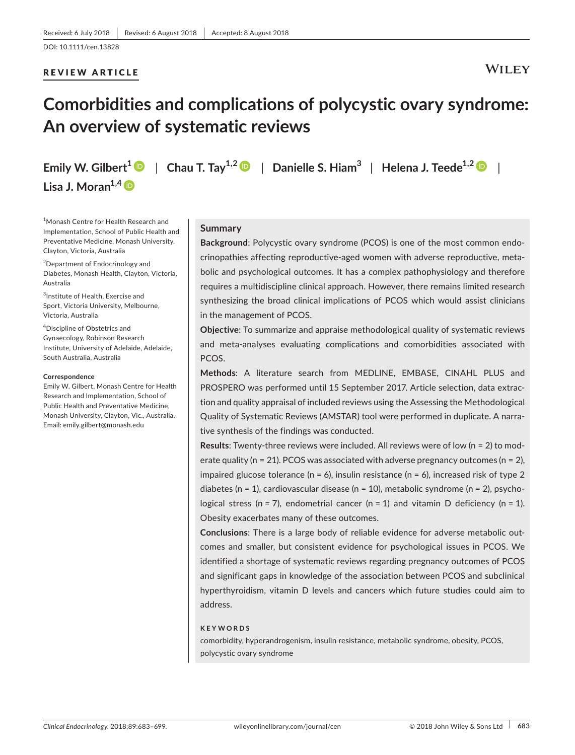# REVIEW ARTICLE

# **WILEY**

# **Comorbidities and complications of polycystic ovary syndrome: An overview of systematic reviews**

**Lisa J. Moran1,[4](http://orcid.org/0000-0001-5772-6484)**

**Emily W. Gilbert**<sup>1</sup>  $\bullet$  | Chau T. Tay<sup>1,[2](http://orcid.org/0000-0001-7609-577X)</sup>  $\bullet$  | Danielle S. Hiam<sup>3</sup> | Helena J. Teede<sup>1,2</sup>  $\bullet$  |

1 Monash Centre for Health Research and Implementation, School of Public Health and Preventative Medicine, Monash University, Clayton, Victoria, Australia

<sup>2</sup>Department of Endocrinology and Diabetes, Monash Health, Clayton, Victoria, Australia

 ${}^{3}$ Institute of Health, Exercise and Sport, Victoria University, Melbourne, Victoria, Australia

4 Discipline of Obstetrics and Gynaecology, Robinson Research Institute, University of Adelaide, Adelaide, South Australia, Australia

### **Correspondence**

Emily W. Gilbert, Monash Centre for Health Research and Implementation, School of Public Health and Preventative Medicine, Monash University, Clayton, Vic., Australia. Email: [emily.gilbert@monash.edu](mailto:emily.gilbert@monash.edu)

### **Summary**

**Background**: Polycystic ovary syndrome (PCOS) is one of the most common endocrinopathies affecting reproductive-aged women with adverse reproductive, metabolic and psychological outcomes. It has a complex pathophysiology and therefore requires a multidiscipline clinical approach. However, there remains limited research synthesizing the broad clinical implications of PCOS which would assist clinicians in the management of PCOS.

**Objective**: To summarize and appraise methodological quality of systematic reviews and meta-analyses evaluating complications and comorbidities associated with PCOS.

**Methods**: A literature search from MEDLINE, EMBASE, CINAHL PLUS and PROSPERO was performed until 15 September 2017. Article selection, data extraction and quality appraisal of included reviews using the Assessing the Methodological Quality of Systematic Reviews (AMSTAR) tool were performed in duplicate. A narrative synthesis of the findings was conducted.

**Results**: Twenty-three reviews were included. All reviews were of low (n = 2) to moderate quality ( $n = 21$ ). PCOS was associated with adverse pregnancy outcomes ( $n = 2$ ), impaired glucose tolerance ( $n = 6$ ), insulin resistance ( $n = 6$ ), increased risk of type 2 diabetes (n = 1), cardiovascular disease (n = 10), metabolic syndrome (n = 2), psychological stress (n = 7), endometrial cancer (n = 1) and vitamin D deficiency (n = 1). Obesity exacerbates many of these outcomes.

**Conclusions**: There is a large body of reliable evidence for adverse metabolic outcomes and smaller, but consistent evidence for psychological issues in PCOS. We identified a shortage of systematic reviews regarding pregnancy outcomes of PCOS and significant gaps in knowledge of the association between PCOS and subclinical hyperthyroidism, vitamin D levels and cancers which future studies could aim to address.

### **KEYWORDS**

comorbidity, hyperandrogenism, insulin resistance, metabolic syndrome, obesity, PCOS, polycystic ovary syndrome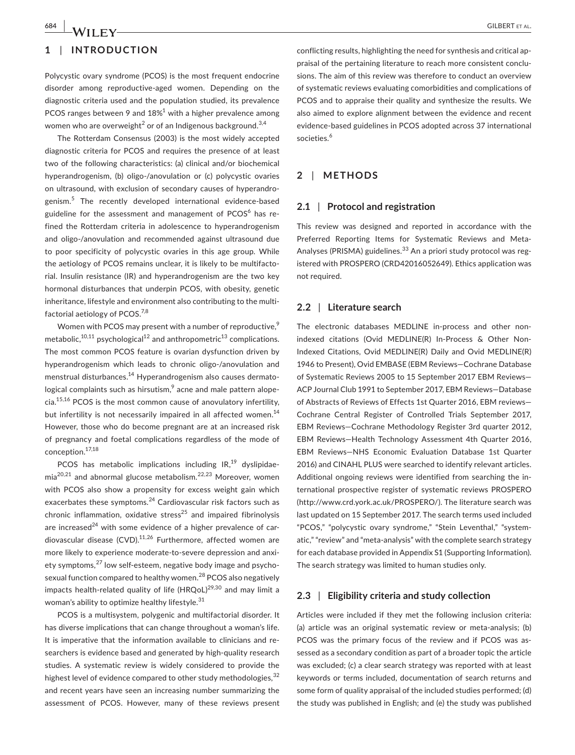# **1** | **INTRODUCTION**

Polycystic ovary syndrome (PCOS) is the most frequent endocrine disorder among reproductive-aged women. Depending on the diagnostic criteria used and the population studied, its prevalence PCOS ranges between 9 and  $18\%$ <sup>1</sup> with a higher prevalence among women who are overweight<sup>2</sup> or of an Indigenous background.<sup>3,4</sup>

The Rotterdam Consensus (2003) is the most widely accepted diagnostic criteria for PCOS and requires the presence of at least two of the following characteristics: (a) clinical and/or biochemical hyperandrogenism, (b) oligo-/anovulation or (c) polycystic ovaries on ultrasound, with exclusion of secondary causes of hyperandrogenism.<sup>5</sup> The recently developed international evidence-based guideline for the assessment and management of  $PCOS<sup>6</sup>$  has refined the Rotterdam criteria in adolescence to hyperandrogenism and oligo-/anovulation and recommended against ultrasound due to poor specificity of polycystic ovaries in this age group. While the aetiology of PCOS remains unclear, it is likely to be multifactorial. Insulin resistance (IR) and hyperandrogenism are the two key hormonal disturbances that underpin PCOS, with obesity, genetic inheritance, lifestyle and environment also contributing to the multifactorial aetiology of PCOS.<sup>7,8</sup>

Women with PCOS may present with a number of reproductive, $\frac{9}{2}$ metabolic, $10,11$  psychological<sup>12</sup> and anthropometric<sup>13</sup> complications. The most common PCOS feature is ovarian dysfunction driven by hyperandrogenism which leads to chronic oligo-/anovulation and menstrual disturbances.<sup>14</sup> Hyperandrogenism also causes dermatological complaints such as hirsutism, $\frac{9}{2}$  acne and male pattern alopecia.15,16 PCOS is the most common cause of anovulatory infertility, but infertility is not necessarily impaired in all affected women.<sup>14</sup> However, those who do become pregnant are at an increased risk of pregnancy and foetal complications regardless of the mode of conception.17,18

PCOS has metabolic implications including  $IR,19$  dyslipidae $mia^{20,21}$  and abnormal glucose metabolism.<sup>22,23</sup> Moreover, women with PCOS also show a propensity for excess weight gain which exacerbates these symptoms.<sup>24</sup> Cardiovascular risk factors such as chronic inflammation, oxidative stress<sup>25</sup> and impaired fibrinolysis are increased $^{24}$  with some evidence of a higher prevalence of cardiovascular disease (CVD). $11,26$  Furthermore, affected women are more likely to experience moderate-to-severe depression and anxiety symptoms,<sup>27</sup> low self-esteem, negative body image and psychosexual function compared to healthy women.<sup>28</sup> PCOS also negatively impacts health-related quality of life  $(HRQoL)^{29,30}$  and may limit a woman's ability to optimize healthy lifestyle.<sup>31</sup>

PCOS is a multisystem, polygenic and multifactorial disorder. It has diverse implications that can change throughout a woman's life. It is imperative that the information available to clinicians and researchers is evidence based and generated by high-quality research studies. A systematic review is widely considered to provide the highest level of evidence compared to other study methodologies, <sup>32</sup> and recent years have seen an increasing number summarizing the assessment of PCOS. However, many of these reviews present

conflicting results, highlighting the need for synthesis and critical appraisal of the pertaining literature to reach more consistent conclusions. The aim of this review was therefore to conduct an overview of systematic reviews evaluating comorbidities and complications of PCOS and to appraise their quality and synthesize the results. We also aimed to explore alignment between the evidence and recent evidence-based guidelines in PCOS adopted across 37 international societies.<sup>6</sup>

# **2** | **METHODS**

### **2.1** | **Protocol and registration**

This review was designed and reported in accordance with the Preferred Reporting Items for Systematic Reviews and Meta-Analyses (PRISMA) guidelines.<sup>33</sup> An a priori study protocol was registered with PROSPERO (CRD42016052649). Ethics application was not required.

### **2.2** | **Literature search**

The electronic databases MEDLINE in-process and other nonindexed citations (Ovid MEDLINE(R) In-Process & Other Non-Indexed Citations, Ovid MEDLINE(R) Daily and Ovid MEDLINE(R) 1946 to Present), Ovid EMBASE (EBM Reviews—Cochrane Database of Systematic Reviews 2005 to 15 September 2017 EBM Reviews— ACP Journal Club 1991 to September 2017, EBM Reviews—Database of Abstracts of Reviews of Effects 1st Quarter 2016, EBM reviews— Cochrane Central Register of Controlled Trials September 2017, EBM Reviews—Cochrane Methodology Register 3rd quarter 2012, EBM Reviews—Health Technology Assessment 4th Quarter 2016, EBM Reviews—NHS Economic Evaluation Database 1st Quarter 2016) and CINAHL PLUS were searched to identify relevant articles. Additional ongoing reviews were identified from searching the international prospective register of systematic reviews PROSPERO (<http://www.crd.york.ac.uk/PROSPERO/>). The literature search was last updated on 15 September 2017. The search terms used included "PCOS," "polycystic ovary syndrome," "Stein Leventhal," "systematic," "review" and "meta-analysis" with the complete search strategy for each database provided in Appendix S1 (Supporting Information). The search strategy was limited to human studies only.

# **2.3** | **Eligibility criteria and study collection**

Articles were included if they met the following inclusion criteria: (a) article was an original systematic review or meta-analysis; (b) PCOS was the primary focus of the review and if PCOS was assessed as a secondary condition as part of a broader topic the article was excluded; (c) a clear search strategy was reported with at least keywords or terms included, documentation of search returns and some form of quality appraisal of the included studies performed; (d) the study was published in English; and (e) the study was published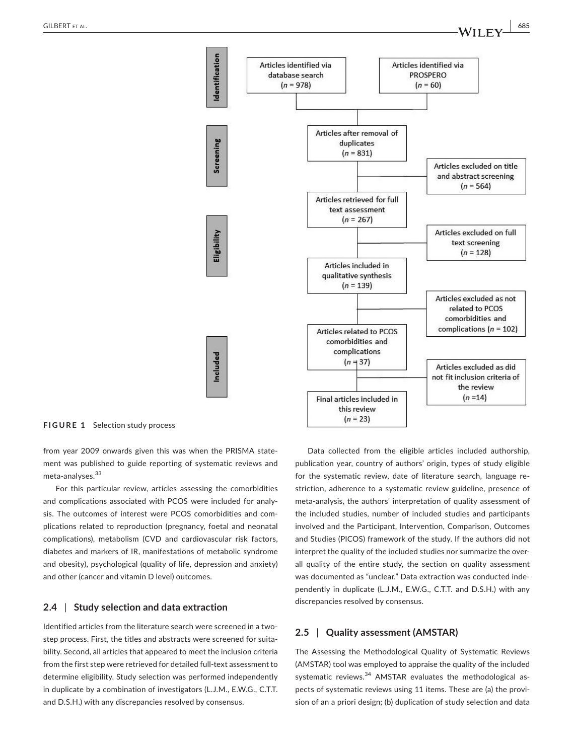

**FIGURE 1** Selection study process

from year 2009 onwards given this was when the PRISMA statement was published to guide reporting of systematic reviews and meta-analyses.<sup>33</sup>

For this particular review, articles assessing the comorbidities and complications associated with PCOS were included for analysis. The outcomes of interest were PCOS comorbidities and complications related to reproduction (pregnancy, foetal and neonatal complications), metabolism (CVD and cardiovascular risk factors, diabetes and markers of IR, manifestations of metabolic syndrome and obesity), psychological (quality of life, depression and anxiety) and other (cancer and vitamin D level) outcomes.

# **2.4** | **Study selection and data extraction**

Identified articles from the literature search were screened in a twostep process. First, the titles and abstracts were screened for suitability. Second, all articles that appeared to meet the inclusion criteria from the first step were retrieved for detailed full-text assessment to determine eligibility. Study selection was performed independently in duplicate by a combination of investigators (L.J.M., E.W.G., C.T.T. and D.S.H.) with any discrepancies resolved by consensus.

Data collected from the eligible articles included authorship, publication year, country of authors' origin, types of study eligible for the systematic review, date of literature search, language restriction, adherence to a systematic review guideline, presence of meta-analysis, the authors' interpretation of quality assessment of the included studies, number of included studies and participants involved and the Participant, Intervention, Comparison, Outcomes and Studies (PICOS) framework of the study. If the authors did not interpret the quality of the included studies nor summarize the overall quality of the entire study, the section on quality assessment was documented as "unclear." Data extraction was conducted independently in duplicate (L.J.M., E.W.G., C.T.T. and D.S.H.) with any discrepancies resolved by consensus.

# **2.5** | **Quality assessment (AMSTAR)**

The Assessing the Methodological Quality of Systematic Reviews (AMSTAR) tool was employed to appraise the quality of the included systematic reviews.<sup>34</sup> AMSTAR evaluates the methodological aspects of systematic reviews using 11 items. These are (a) the provision of an a priori design; (b) duplication of study selection and data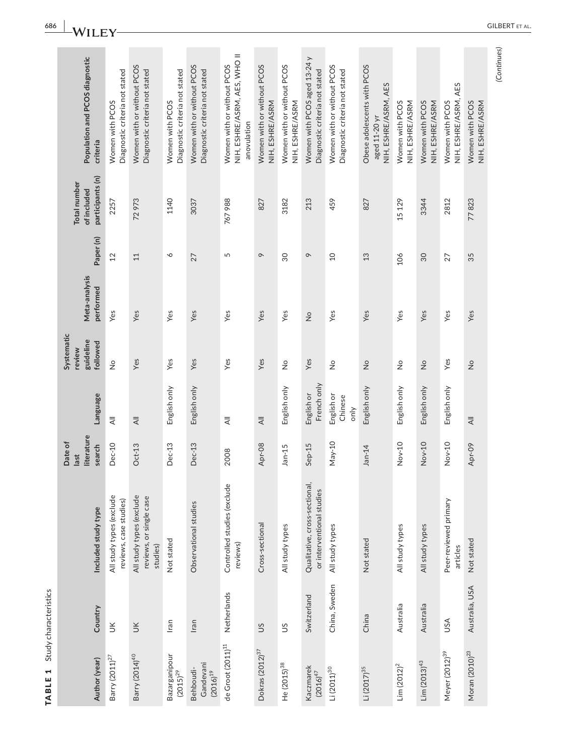| Population and PCOS diagnostic<br>criteria             | Diagnostic criteria not stated<br>Women with PCOS  | Women with or without PCOS<br>Diagnostic criteria not stated    | Diagnostic criteria not stated<br>Women with PCOS | Women with or without PCOS<br>Diagnostic criteria not stated | NIH, ESHRE/ASRM, AES, WHO II<br>Women with or without PCOS<br>anovulation | Women with or without PCOS<br>NIH, ESHRE/ASRM | Women with or without PCOS<br>NIH, ESHRE/ASRM | Women with PCOS aged 13-24 y<br>Diagnostic criteria not stated | Women with or without PCOS<br>Diagnostic criteria not stated | Obese adolescents with PCOS<br>NIH, ESHRE/ASRM, AES<br>aged 11-20 yr | Women with PCOS<br>NIH, ESHRE/ASRM | NIH, ESHRE/ASRM<br>Women with PCOS | NIH, ESHRE/ASRM, AES<br>Women with PCOS | Women with PCOS<br>NIH, ESHRE/ASRM |
|--------------------------------------------------------|----------------------------------------------------|-----------------------------------------------------------------|---------------------------------------------------|--------------------------------------------------------------|---------------------------------------------------------------------------|-----------------------------------------------|-----------------------------------------------|----------------------------------------------------------------|--------------------------------------------------------------|----------------------------------------------------------------------|------------------------------------|------------------------------------|-----------------------------------------|------------------------------------|
|                                                        |                                                    |                                                                 |                                                   |                                                              |                                                                           |                                               |                                               |                                                                |                                                              |                                                                      |                                    |                                    |                                         |                                    |
| participants (n)<br><b>Total number</b><br>of included | 2257                                               | 72973                                                           | 1140                                              | 3037                                                         | 767988                                                                    | 827                                           | 3182                                          | 213                                                            | 459                                                          | 827                                                                  | 15 129                             | 3344                               | 2812                                    | 77823                              |
| Paper(n)                                               | 12                                                 | 11                                                              | $\breve{\phantom{0}}$                             | 27                                                           | 5                                                                         | $\circ$                                       | $\overline{30}$                               | $\circ$                                                        | $\Omega$                                                     | 13                                                                   | 106                                | $30\,$                             | 27                                      | 35                                 |
| Meta-analysis<br>performed                             |                                                    |                                                                 |                                                   |                                                              |                                                                           |                                               |                                               |                                                                |                                                              |                                                                      |                                    |                                    |                                         |                                    |
|                                                        | Yes                                                | Yes                                                             | Yes                                               | Yes                                                          | Yes                                                                       | Yes                                           | Yes                                           | $\frac{1}{2}$                                                  | Yes                                                          | Yes                                                                  | Yes                                | Yes                                | Yes                                     | Yes                                |
| Systematic<br>guideline<br>followed<br>review          | $\frac{1}{2}$                                      | Yes                                                             | Yes                                               | Yes                                                          | Yes                                                                       | Yes                                           | $\frac{1}{2}$                                 | Yes                                                            | $\frac{1}{2}$                                                | $\frac{1}{2}$                                                        | $\frac{1}{2}$                      | $\frac{1}{2}$                      | Yes                                     | $\frac{1}{2}$                      |
| Language                                               | $\overline{4}$                                     | $\overline{4}$                                                  | English only                                      | English only                                                 | $\equiv$                                                                  | $\equiv$                                      | English only                                  | French only<br>English or                                      | English or<br>Chinese<br>only                                | English only                                                         | English only                       | English only                       | English only                            | $\equiv$                           |
| literature<br>Date of<br>search<br>last                | <b>Dec-10</b>                                      | $Oct-13$                                                        | Dec-13                                            | Dec-13                                                       | 2008                                                                      | Apr-08                                        | $Jan-15$                                      | Sep-15                                                         | May-10                                                       | $Jan-14$                                                             | Nov-10                             | Nov-10                             | Nov-10                                  | Apr-09                             |
| Included study type                                    | All study types (exclude<br>reviews, case studies) | All study types (exclude<br>reviews, or single case<br>studies) | Not stated                                        | Observational studies                                        | Controlled studies (exclude<br>reviews)                                   | Cross-sectional                               | All study types                               | Qualitative, cross-sectional,<br>or interventional studies     | All study types                                              | Not stated                                                           | All study types                    | All study types                    | Peer-reviewed primary<br>articles       | Not stated                         |
| Country                                                | š                                                  | $\leq$                                                          | Iran                                              | Iran                                                         | Netherlands                                                               | SU                                            | SU                                            | Switzerland                                                    | China, Sweden                                                | China                                                                | Australia                          | Australia                          | USA                                     | Australia, USA                     |
| Author (year)                                          | Barry $(2011)^{27}$                                | Barry (2014) <sup>40</sup>                                      | Bazarganipour<br>$(2015)^{29}$                    | Gandevani<br>Behboudi-<br>$(2016)^{19}$                      | de Groot $(2011)^{11}$                                                    | Dokras (2012) <sup>37</sup>                   | He (2015) <sup>38</sup>                       | Kaczmarek<br>$(2016)^{47}$                                     | $Li (2011)^{30}$                                             | Li (2017) <sup>35</sup>                                              | $Lim (2012)^2$                     | $Lim (2013)^{43}$                  | Meyer (2012) <sup>39</sup>              | Moran (2010) <sup>23</sup>         |

TABLE 1 Study characteristics

TABLE 1 Study characteristics

(Continues) *(Continues)*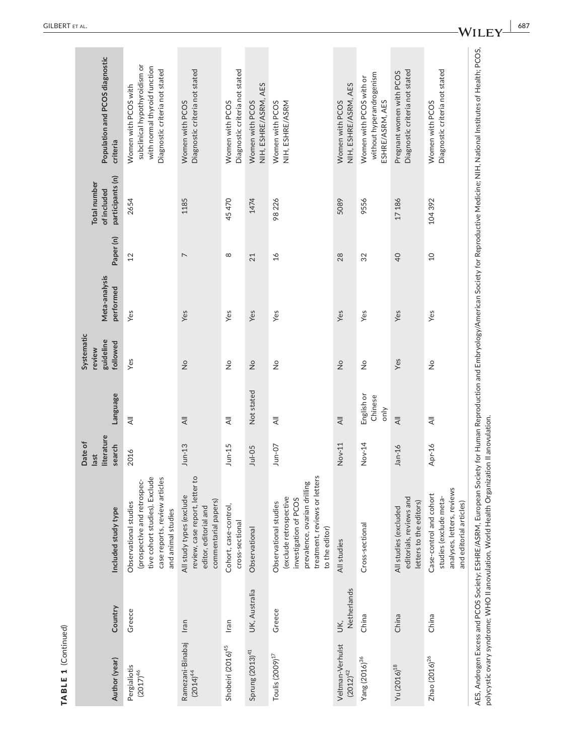|                     | Population and PCOS diagnostic<br>criteria             | subclinical hypothyroidism or<br>with normal thyroid function<br>Diagnostic criteria not stated<br>Women with PCOS with                                                | Diagnostic criteria not stated<br>Women with PCOS                                                                        | Diagnostic criteria not stated<br>Women with PCOS | NIH, ESHRE/ASRM, AES<br>Women with PCOS | Women with PCOS<br>NIH, ESHRE/ASRM                                                                                                                          | NIH, ESHRE/ASRM, AES<br>Women with PCOS | without hyperandrogenism<br>Women with PCOS with or<br>ESHRE/ASRM, AES | Diagnostic criteria not stated<br>Pregnant women with PCOS                  | Diagnostic criteria not stated<br>Women with PCOS                                                          |
|---------------------|--------------------------------------------------------|------------------------------------------------------------------------------------------------------------------------------------------------------------------------|--------------------------------------------------------------------------------------------------------------------------|---------------------------------------------------|-----------------------------------------|-------------------------------------------------------------------------------------------------------------------------------------------------------------|-----------------------------------------|------------------------------------------------------------------------|-----------------------------------------------------------------------------|------------------------------------------------------------------------------------------------------------|
|                     | participants (n)<br><b>Total number</b><br>of included | 2654                                                                                                                                                                   | 1185                                                                                                                     | 45470                                             | 1474                                    | 98226                                                                                                                                                       | 5089                                    | 9556                                                                   | 17186                                                                       | 104392                                                                                                     |
|                     | Paper(n)                                               | 12                                                                                                                                                                     | $\overline{ }$                                                                                                           | $^{\circ}$                                        | 21                                      | $\frac{1}{6}$                                                                                                                                               | 28                                      | 32                                                                     | $\overline{0}$                                                              | $\overline{a}$                                                                                             |
|                     | Meta-analysis<br>performed                             | Yes                                                                                                                                                                    | Yes                                                                                                                      | Yes                                               | Yes                                     | Yes                                                                                                                                                         | Yes                                     | Yes                                                                    | Yes                                                                         | Yes                                                                                                        |
|                     | Systematic<br>guideline<br>followed<br>review          | Yes                                                                                                                                                                    | $\overset{\circ}{\simeq}$                                                                                                | $\frac{1}{2}$                                     | $\frac{\circ}{\mathsf{Z}}$              | $\frac{1}{2}$                                                                                                                                               | $\frac{1}{2}$                           | $\frac{1}{2}$                                                          | Yes                                                                         | $\frac{1}{2}$                                                                                              |
|                     | Language                                               | $\equiv$                                                                                                                                                               | $\overline{4}$                                                                                                           | $\overline{\overline{z}}$                         | Not stated                              | $\overline{4}$                                                                                                                                              | $\overline{4}$                          | English or<br>Chinese<br>only                                          | $\overline{4}$                                                              | $\overline{\overline{z}}$                                                                                  |
|                     | literature<br>Date of<br>search<br>last                | 2016                                                                                                                                                                   | $J$ un-13                                                                                                                | $J$ un-15                                         | $Jul-05$                                | $Jun-07$                                                                                                                                                    | Nov-11                                  | Nov-14                                                                 | $Jan-16$                                                                    | Apr-16                                                                                                     |
|                     | Included study type                                    | case reports, review articles<br>$\overline{\mathbb{e}}$<br>(prospective and retrospec-<br>tive cohort studies). Exclud<br>Observational studies<br>and animal studies | $\mathsf{S}$<br>review, case report, letter<br>All study types (exclude<br>commentarial papers)<br>editor, editorial and | Cohort, case-control,<br>cross-sectional          | Observational                           | treatment, reviews or letters<br>prevalence, ovarian drilling<br>(exclude retrospective<br>investigation of PCOS<br>Observational studies<br>to the editor) | All studies                             | Cross-sectional                                                        | editorials, reviews and<br>letters to the editors)<br>All studies (excluded | analyses, letters, reviews<br>Case-control and cohort<br>studies (exclude meta-<br>and editorial articles) |
|                     | Country                                                | Greece                                                                                                                                                                 | Iran                                                                                                                     | Iran                                              | UK, Australia                           | Greece                                                                                                                                                      | Netherlands<br>Š,                       | China                                                                  | China                                                                       | China                                                                                                      |
| TABLE 1 (Continued) | Author (year)                                          | Pergialiotis<br>$(2017)^{46}$                                                                                                                                          | Ramezani-Binabaj<br>$(2014)^{44}$                                                                                        | Shobeiri (2016) <sup>45</sup>                     | Sprung (2013) <sup>41</sup>             | Toulis (2009) <sup>17</sup>                                                                                                                                 | Veltman-Verhulst<br>$(2012)^{42}$       | Yang (2016) <sup>36</sup>                                              | Yu (2016) <sup>18</sup>                                                     | Zhao $(2016)^{26}$                                                                                         |

**WILEY**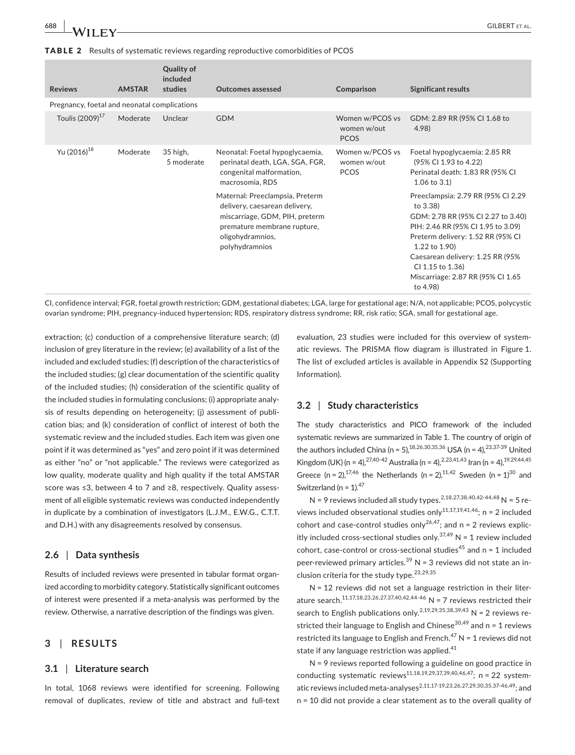TABLE 2 Results of systematic reviews regarding reproductive comorbidities of PCOS

| <b>Reviews</b>                               | <b>AMSTAR</b> | Quality of<br>included<br>studies | <b>Outcomes assessed</b>                                                                                                                                                | Comparison                                    | <b>Significant results</b>                                                                                                                                                                                                                                                                |
|----------------------------------------------|---------------|-----------------------------------|-------------------------------------------------------------------------------------------------------------------------------------------------------------------------|-----------------------------------------------|-------------------------------------------------------------------------------------------------------------------------------------------------------------------------------------------------------------------------------------------------------------------------------------------|
| Pregnancy, foetal and neonatal complications |               |                                   |                                                                                                                                                                         |                                               |                                                                                                                                                                                                                                                                                           |
| Toulis (2009) <sup>17</sup>                  | Moderate      | Unclear                           | <b>GDM</b>                                                                                                                                                              | Women w/PCOS vs<br>women w/out<br>PCOS        | GDM: 2.89 RR (95% CI 1.68 to<br>4.98                                                                                                                                                                                                                                                      |
| Yu (2016) <sup>18</sup>                      | Moderate      | 35 high,<br>5 moderate            | Neonatal: Foetal hypoglycaemia,<br>perinatal death, LGA, SGA, FGR,<br>congenital malformation,<br>macrosomia, RDS                                                       | Women w/PCOS vs<br>women w/out<br><b>PCOS</b> | Foetal hypoglycaemia: 2.85 RR<br>(95% CI 1.93 to 4.22)<br>Perinatal death: 1.83 RR (95% CI<br>$1.06$ to $3.1$ )                                                                                                                                                                           |
|                                              |               |                                   | Maternal: Preeclampsia, Preterm<br>delivery, caesarean delivery,<br>miscarriage, GDM, PIH, preterm<br>premature membrane rupture,<br>oligohydramnios,<br>polyhydramnios |                                               | Preeclampsia: 2.79 RR (95% CI 2.29<br>to 3.38)<br>GDM: 2.78 RR (95% CI 2.27 to 3.40)<br>PIH: 2.46 RR (95% CI 1.95 to 3.09)<br>Preterm delivery: 1.52 RR (95% CI<br>1.22 to 1.90)<br>Caesarean delivery: 1.25 RR (95%<br>CI 1.15 to 1.36)<br>Miscarriage: 2.87 RR (95% CI 1.65<br>to 4.98) |

CI, confidence interval; FGR, foetal growth restriction; GDM, gestational diabetes; LGA, large for gestational age; N/A, not applicable; PCOS, polycystic ovarian syndrome; PIH, pregnancy-induced hypertension; RDS, respiratory distress syndrome; RR, risk ratio; SGA, small for gestational age.

extraction; (c) conduction of a comprehensive literature search; (d) inclusion of grey literature in the review; (e) availability of a list of the included and excluded studies; (f) description of the characteristics of the included studies; (g) clear documentation of the scientific quality of the included studies; (h) consideration of the scientific quality of the included studies in formulating conclusions; (i) appropriate analysis of results depending on heterogeneity; (j) assessment of publication bias; and (k) consideration of conflict of interest of both the systematic review and the included studies. Each item was given one point if it was determined as "yes" and zero point if it was determined as either "no" or "not applicable." The reviews were categorized as low quality, moderate quality and high quality if the total AMSTAR score was ≤3, between 4 to 7 and ≥8, respectively. Quality assessment of all eligible systematic reviews was conducted independently in duplicate by a combination of investigators (L.J.M., E.W.G., C.T.T. and D.H.) with any disagreements resolved by consensus.

# **2.6** | **Data synthesis**

Results of included reviews were presented in tabular format organized according to morbidity category. Statistically significant outcomes of interest were presented if a meta-analysis was performed by the review. Otherwise, a narrative description of the findings was given.

# **3** | **RESULTS**

### **3.1** | **Literature search**

In total, 1068 reviews were identified for screening. Following removal of duplicates, review of title and abstract and full-text evaluation, 23 studies were included for this overview of systematic reviews. The PRISMA flow diagram is illustrated in Figure 1. The list of excluded articles is available in Appendix S2 (Supporting Information).

### **3.2** | **Study characteristics**

The study characteristics and PICO framework of the included systematic reviews are summarized in Table 1. The country of origin of the authors included China (n = 5),  $^{18,26,30,35,36}$  USA (n = 4),  $^{23,37\cdot39}$  United Kingdom (UK) (n = 4), <sup>27,40-42</sup> Australia (n = 4), <sup>2,23,41,43</sup> Iran (n = 4), <sup>19,29,44,45</sup> Greece (n = 2),<sup>17,46</sup> the Netherlands (n = 2),<sup>11,42</sup> Sweden (n = 1)<sup>30</sup> and Switzerland (n =  $1$ ).<sup>47</sup>

N = 9 reviews included all study types.  $^{2,18,27,38,40,42-44,48}$  N = 5 reviews included observational studies only<sup>11,17,19,41,46</sup>; n = 2 included cohort and case-control studies only<sup>26,47</sup>; and  $n = 2$  reviews explicitly included cross-sectional studies only.<sup>37,49</sup> N = 1 review included cohort, case-control or cross-sectional studies<sup>45</sup> and  $n = 1$  included peer-reviewed primary articles.<sup>39</sup> N = 3 reviews did not state an inclusion criteria for the study type.<sup>23,29,35</sup>

N = 12 reviews did not set a language restriction in their literature search.<sup>11,17,18,23,26,27,37,40,42,44-46</sup> N = 7 reviews restricted their search to English publications only.<sup>2,19,29,35,38,39,43</sup> N = 2 reviews restricted their language to English and Chinese<sup>30,49</sup> and  $n = 1$  reviews restricted its language to English and French.<sup>47</sup> N = 1 reviews did not state if any language restriction was applied. $41$ 

N = 9 reviews reported following a guideline on good practice in conducting systematic reviews<sup>11,18,19,29,37,39,40,46,47</sup>; n = 22 systematic reviews included meta-analyses<sup>2,11,17-19,23,26,27,29,30,35,37-46,49</sup>; and n = 10 did not provide a clear statement as to the overall quality of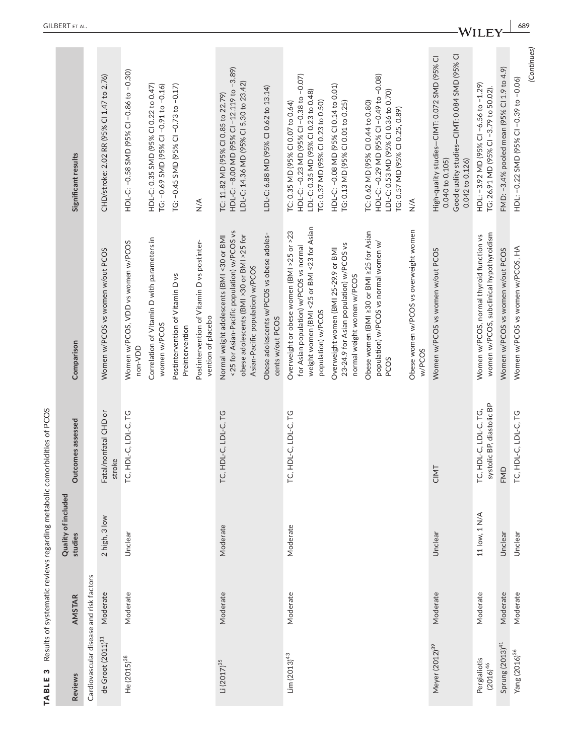| m<br><b>TABLE</b>             |                                         | Results of systematic reviews regarding metabolic comorbidities of PCOS<br>Quality of included |                                                    |                                                                                                                                                                           |                                                                                                                                                           |
|-------------------------------|-----------------------------------------|------------------------------------------------------------------------------------------------|----------------------------------------------------|---------------------------------------------------------------------------------------------------------------------------------------------------------------------------|-----------------------------------------------------------------------------------------------------------------------------------------------------------|
| <b>Reviews</b>                | <b>AMSTAR</b>                           | studies                                                                                        | Outcomes assessed                                  | Comparison                                                                                                                                                                | Significant results                                                                                                                                       |
|                               | Cardiovascular disease and risk factors |                                                                                                |                                                    |                                                                                                                                                                           |                                                                                                                                                           |
| de Groot $(2011)^{11}$        | Moderate                                | 2 high, 3 low                                                                                  | Fatal/nonfatal CHD or<br>stroke                    | Women w/PCOS vs women w/out PCOS                                                                                                                                          | CHD/stroke: 2.02 RR (95% CI 1.47 to 2.76)                                                                                                                 |
| He (2015) <sup>38</sup>       | Moderate                                | Unclear                                                                                        | TC, HDL-C, LDL-C, TG                               | Women w/PCOS, VDD vs women w/PCOS<br>non-VDD                                                                                                                              | HDL-C: -0.58 SMD (95% CI -0.86 to -0.30)                                                                                                                  |
|                               |                                         |                                                                                                |                                                    | Correlation of Vitamin D with parameters in<br>women w/PCOS                                                                                                               | HDL-C: 0.35 SMD (95% CI 0.22 to 0.47)<br>TG: -0.69 SMD (95% CI -0.91 to -0.16)                                                                            |
|                               |                                         |                                                                                                |                                                    | Postintervention of Vitamin D vs<br>Preintervention                                                                                                                       | TG: -0.45 SMD (95% CI -0.73 to -0.17)                                                                                                                     |
|                               |                                         |                                                                                                |                                                    | Postintervention of Vitamin D vs postinter-<br>vention of placebo                                                                                                         | $\frac{4}{5}$                                                                                                                                             |
| $Li (2017)^{35}$              | Moderate                                | Moderate                                                                                       | TC, HDL-C, LDL-C, TG                               | <25 for Asian-Pacific population) w/PCOS vs<br>Normal weight adolescents (BMI <30 or BMI<br>obese adolescents (BMI >30 or BMI >25 for<br>Asian-Pacific population) w/PCOS | HDL-C: -8.00 MD (95% CI -12.119 to -3.89)<br>LDL-C: 14.36 MD (95% CI 5.30 to 23.42)<br>TC: 11.82 MD (95% CI 0.85 to 22.79)                                |
|                               |                                         |                                                                                                |                                                    | Obese adolescents w/PCOS vs obese adoles-<br>cents w/out PCOS                                                                                                             | LDL-C: 6.88 MD (95% CI 0.62 to 13.14)                                                                                                                     |
| $Lim (2013)^{43}$             | Moderate                                | Moderate                                                                                       | TC, HDL-C, LDL-C, TG                               | weight women (BMI <25 or BMI <23 for Asian<br>Overweight or obese women (BMI >25 or >23<br>for Asian population) w/PCOS vs normal<br>population) w/PCOS                   | HDL-C: -0.23 MD (95% CI -0.38 to -0.07)<br>LDL-C: 0.35 MD (95% CI 0.23 to 0.48)<br>TG: 0.37 MD (95% CI 0.23 to 0.50)<br>TC: 0.35 MD (95% CI 0.07 to 0.64) |
|                               |                                         |                                                                                                |                                                    | 23-24.9 for Asian population) w/PCOS vs<br>Overweight women (BMI 25-29.9 or BMI<br>normal weight women w/PCOS                                                             | HDL-C: -0.08 MD (95% CI 0.14 to 0.01)<br>TG: 0.13 MD (95% CI 0.01 to 0.25)                                                                                |
|                               |                                         |                                                                                                |                                                    | Obese women (BMI ≥30 or BMI ≥25 for Asian<br>population) w/PCOS vs normal women w/<br>PCOS                                                                                | HDL-C: -0.29 MD (95% CI -0.49 to -0.08)<br>LDL-C: 0.53 MD (95% CI 0.36 to 0.70)<br>TC: 0.62 MD (95% CI 0.44 to 0.80)<br>TG: 0.57 MD (95% CI 0.25, 0.89)   |
|                               |                                         |                                                                                                |                                                    | Obese women w/PCOS vs overweight women<br>w/PCOS                                                                                                                          | $\frac{4}{2}$                                                                                                                                             |
| Meyer (2012) <sup>39</sup>    | Moderate                                | Unclear                                                                                        | CIMT                                               | Women w/PCOS vs women w/out PCOS                                                                                                                                          | Good quality studies-CIMT: 0.084 SMD (95% CI<br>High-quality studies-CINT: 0.072 SMD (95% CI<br>0.042 to 0.126)<br>0.040 to 0.105)                        |
| Pergialiotis<br>$(2016)^{46}$ | Moderate                                | 11 low, 1 N/A                                                                                  | systolic BP, diastolic BP<br>TC, HDL-C, LDL-C, TG, | women w/PCOS, subclinical hypothyroidism<br>Women w/PCOS, normal thyroid function vs                                                                                      | HDL: -3.92 MD (95% CI -6.56 to -1.29)<br>TG: 26.91 MD (95% CI -3.79 to 50.02).                                                                            |
| $Sprung (2013)^{41}$          | Moderate                                | Unclear                                                                                        | FMD                                                | Women w/PCOS vs women w/out PCOS                                                                                                                                          | FMD: -3.4% pooled mean (95% CI 1.9 to 4.9)                                                                                                                |
| Yang (2016) <sup>36</sup>     | Moderate                                | Unclear                                                                                        | TC, HDL-C, LDL-C, TG                               | Women w/PCOS vs women w/PCOS, HA                                                                                                                                          | HDL: -0.22 SMD (95% CI -0.39 to -0.06)                                                                                                                    |
|                               |                                         |                                                                                                |                                                    |                                                                                                                                                                           | (Continues)                                                                                                                                               |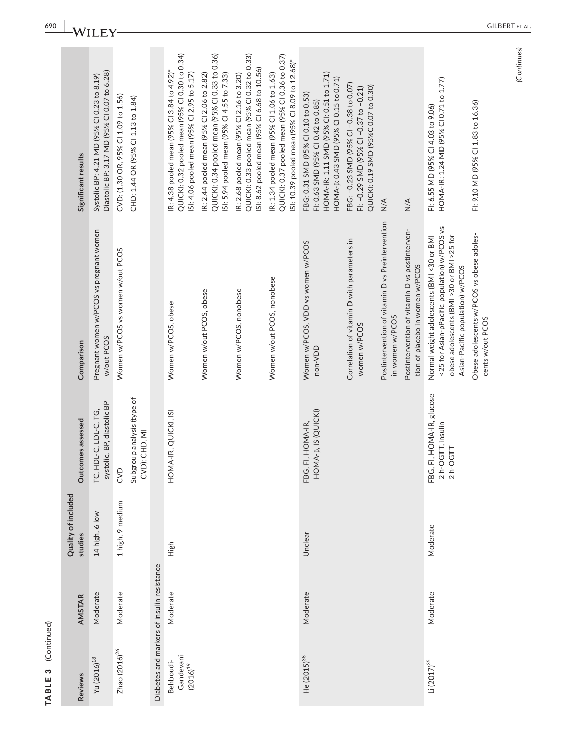| <b>Reviews</b>                             | <b>AMSTAR</b> | Quality of included<br>studies | Outcomes assessed                                          | Comparison                                                                                                                                                                 | Significant results                                                                                                                                             |
|--------------------------------------------|---------------|--------------------------------|------------------------------------------------------------|----------------------------------------------------------------------------------------------------------------------------------------------------------------------------|-----------------------------------------------------------------------------------------------------------------------------------------------------------------|
| Yu (2016) <sup>18</sup>                    | Moderate      | 14 high, 6 low                 | TC, HDL-C, LDL-C, TG,<br>systolic, BP, diastolic BP        | Pregnant women w/PCOS vs pregnant women<br>w/out PCOS                                                                                                                      | Diastolic BP: 3.17 MD (95% CI 0.07 to 6.28)<br>Systolic BP: 4.21 MD (95% CI 0.23 to 8.19)                                                                       |
| Zhao $(2016)^{26}$                         | Moderate      | 1 high, 9 medium               | Subgroup analysis (type of<br>CVD): CHD, MI<br>CVD         | Women w/PCOS vs women w/out PCOS                                                                                                                                           | CVD: (1.30 OR, 95% CI 1.09 to 1.56)<br>CHD: 1.44 OR (95% CI 1.13 to 1.84)                                                                                       |
| Diabetes and markers of insulin resistance |               |                                |                                                            |                                                                                                                                                                            |                                                                                                                                                                 |
| Gandevani<br>Behboudi-<br>$(2016)^{19}$    | Moderate      | High                           | HOMA-IR, QUICKI, ISI                                       | Women w/PCOS, obese                                                                                                                                                        | QUICKI: 0.32 pooled mean (95% CI 0.30 to 0.34)<br>IR: 4.38 pooled mean (95% CI 3.84 to 4.92)*<br>SI: 4.06 pooled mean (95% CI 2.95 to 5.17)                     |
|                                            |               |                                |                                                            | Women w/out PCOS, obese                                                                                                                                                    | QUICKI: 0.34 pooled mean (95% CI 0.33 to 0.36)<br>R: 2.44 pooled mean (95% Cl 2.06 to 2.82)<br>ISI: 5.94 pooled mean (95% CI 4.55 to 7.33)                      |
|                                            |               |                                |                                                            | Women w/PCOS, nonobese                                                                                                                                                     | QUICKI: 0.33 pooled mean (95% CI 0.32 to 0.33)<br>ISI: 8.62 pooled mean (95% CI 6.68 to 10.56)<br>R: 2.68 pooled mean (95% Cl 2.16 to 3.20)                     |
|                                            |               |                                |                                                            | Women w/out PCOS, nonobese                                                                                                                                                 | QUICKI: 0.37 pooled mean (95% CI 0.36 to 0.37)<br>ISI: 10.39 pooled mean (95% CI 8.09 to 12.68)*<br>R: 1.34 pooled mean (95% Cl 1.06 to 1.63)                   |
| He (2015) <sup>38</sup>                    | Moderate      | Unclear                        | FBG, FI, HOMA-IR,<br>HOMA-β, IS (QUICKI)                   | Women w/PCOS, VDD vs women w/PCOS<br>non-VDD                                                                                                                               | HOMA-IR: 1.11 SMD (95% CI: 0.51 to 1.71)<br>HOMA-ß: 0.43 SMD (95% CI 0.15 to 0.71)<br>FBG: 0.31 SMD (95% CI 0.10 to 0.53)<br>FI: 0.63 SMD (95% CI 0.42 to 0.85) |
|                                            |               |                                |                                                            | Correlation of vitamin D with parameters in<br>women w/PCOS                                                                                                                | FBG: -0.23 SMD (95% CI -0.38 to 0.07)<br>QUICKI: 0.19 SMD (95%C 0.07 to 0.30)<br>FI: -0.29 SMD (95% CI -0.37 to -0.21)                                          |
|                                            |               |                                |                                                            | Postintervention of vitamin D vs Preintervention<br>in women w/PCOS                                                                                                        | $\frac{4}{2}$                                                                                                                                                   |
|                                            |               |                                |                                                            | Postintervention of vitamin D vs postinterven-<br>tion of placebo in women w/PCOS                                                                                          | $\frac{4}{2}$                                                                                                                                                   |
| $Li (2017)^{35}$                           | Moderate      | Moderate                       | FBG, FI, HOMA-IR, glucose<br>2 h-OGTT, insulin<br>2 h-OGTT | <25 for Asian-pPacific population) w/PCOS vs<br>obese adolescents (BMI >30 or BMI >25 for<br>Normal weight adolescents (BMI <30 or BMI<br>Asian-Pacific population) w/PCOS | HOMA-IR: 1.24 MD (95% CI 0.71 to 1.77)<br>FI: 6.55 MD (95% CI 4.03 to 9.06)                                                                                     |
|                                            |               |                                |                                                            | Obese adolescents w/PCOS vs obese adoles-<br>cents w/out PCOS                                                                                                              | Fi: 9.10 MD (95% CI 1.83 to 16.36)                                                                                                                              |

**690 A**/**II EX** 

TABLE 3 (Continued)

TABLE 3 (Continued)

(Continues) *(Continues)*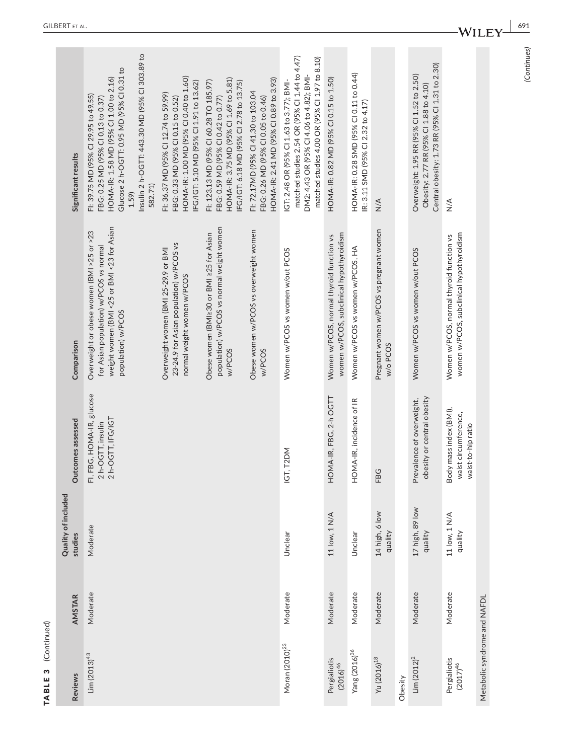|                          | Outcom                       |
|--------------------------|------------------------------|
|                          | Quality of include<br>tudies |
| <b>BLE 3</b> (Continued) | AMSTAR                       |
|                          | views                        |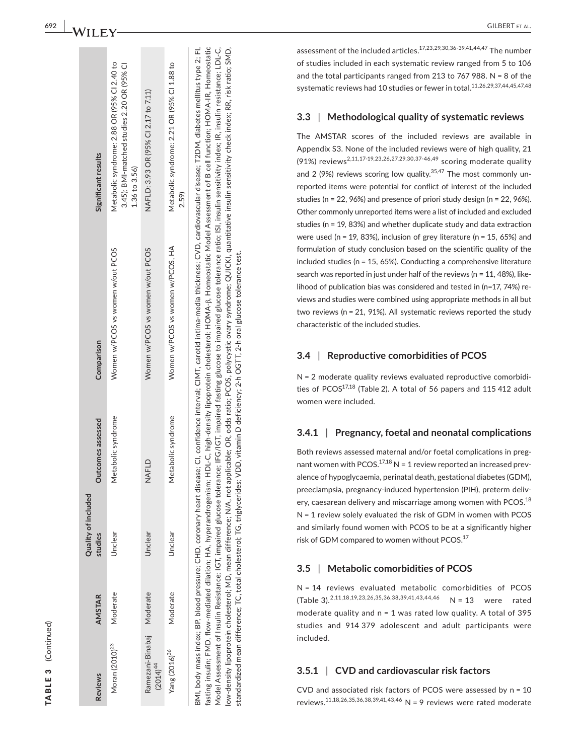| ¢<br>n |
|--------|
|        |
|        |
|        |
| L      |
|        |
|        |
|        |
|        |
|        |
|        |
|        |
|        |
|        |
|        |
|        |
|        |
|        |

| <b>Reviews</b>                             | <b>AMSTAR</b> | Quality of included<br>studies | Outcomes assessed  | Comparison                                                                           | Significant results                                                                                             |
|--------------------------------------------|---------------|--------------------------------|--------------------|--------------------------------------------------------------------------------------|-----------------------------------------------------------------------------------------------------------------|
| Moran (2010) <sup>23</sup>                 | Moderate      | Jnclear                        | Metabolic syndrome | Women w/PCOS vs women w/out PCOS                                                     | Metabolic syndrome: 2.88 OR (95% Cl 2.40 to<br>3.45); BMI-matched studies 2.20 OR (95% CI<br>$1.36$ to $3.56$ ) |
| Ramezani-Binabaj Moderate<br>$(2014)^{44}$ |               | Unclear                        | NAFLD              | Women w/PCOS vs women w/out PCOS                                                     | NAFLD: 3.93 OR (95% CI 2.17 to 7.11)                                                                            |
| Yang (2016) <sup>36</sup>                  | Moderate      | Unclear                        | Metabolic syndrome | Women w/PCOS vs women w/PCOS, HA                                                     | Metabolic syndrome: 2.21 OR (95% CI 1.88 to<br>2.59)                                                            |
|                                            |               | $\frac{1}{2}$                  | i                  | コンピュータ こうしょう こうしょう こうしょう こうしょう こうしょう こうしょう こうしょう こうしょう こうしょう こうしょう こうしょう こうしょう しょうしゃ |                                                                                                                 |

fasting insulin; FMD, flow-mediated dilation; HA, hyperandrogenism; HDL-C, high-density lipoprotein cholesterol; HOMA-ß, Homeostatic Model Assessment of B cell function; HOMA-IR, Homeostatic low-density lipoprotein cholesterol; MD, mean difference; N/A, not applicable; OR, odds ratio; PCOS, polycystic ovary syndrome; QUICKI, quantitative insulin sensitivity check index; RR, risk ratio; SMD, BMI, body mass index; BP, blood pressure; CHD, coronary heart disease; CI, confidence interval; CIMT, carotid intima-media thickness; CVD, cardiovascular disease; T2DM, diabetes mellitus type 2; FI, BMI, body mass index; BP, blood pressure; CHD, coronary heart disease; CI, confidence interval; CIMT, carotid intima-media thickness; CVD, cardiovascular disease; T2DM, diabetes mellitus type 2; FI, fasting insulin; FMD, flow-mediated dilation; HA, hyperandrogenism; HDL-C, high-density lipoprotein cholesterol; HOMA-β, Homeostatic Model Assessment of B cell function; HOMA-IR, Homeostatic insulin resistance; LDL-C, Model Assessment of Insulin Resistance; IGT, impaired glucose tolerance; IFG/IGT, impaired fasting glucose to impaired glucose tolerance ratio; ISI, insulin sensitivity index; IR, insulin resistance; LDL-C, low-density lipoprotein cholesterol; MD, mean difference; N/A, not applicable; OR, odds ratio; PCOS, polycystic ovary syndrome; QUICKI, quantitative insulin sensitivity check index; RR, risk ratio; SMD, insulin sensitivity index; IR, ratio; ISI, standardized mean difference; TC, total cholesterol; TG, triglycerides; VDD, vitamin D deficiency; 2-h OGTT, 2-h oral glucose tolerance test. tolerance standardized mean difference: TC, total cholesterol; TG, triglycerides; VDD, vitamin D deficiency; 2-h OGTT, 2-h oral glucose tolerance test to impaired glucose impaired fasting glucose t impaired glucose tolerance; IFG/IGT, Resistance; IGT, Model Assessment of Insulin

assessment of the included articles.17,23,29,30,36-39,41,44,47 The number of studies included in each systematic review ranged from 5 to 106 and the total participants ranged from 213 to 767 988. N = 8 of the systematic reviews had 10 studies or fewer in total.<sup>11,26,29,37,44,45,47,48</sup>

# **3.3**  | **Methodological quality of systematic reviews**

The AMSTAR scores of the included reviews are available in Appendix S3. None of the included reviews were of high quality, 21 (91%) reviews2,11,17-19,23,26,27,29,30,37-46,49 scoring moderate quality and 2 (9%) reviews scoring low quality.<sup>35,47</sup> The most commonly unreported items were potential for conflict of interest of the included studies (n = 22, 96%) and presence of priori study design (n = 22, 96%). Other commonly unreported items were a list of included and excluded studies (n = 19, 83%) and whether duplicate study and data extraction were used (n = 19, 83%), inclusion of grey literature (n = 15, 65%) and formulation of study conclusion based on the scientific quality of the included studies (n = 15, 65%). Conducting a comprehensive literature search was reported in just under half of the reviews (n = 11, 48%), like lihood of publication bias was considered and tested in (n=17, 74%) re views and studies were combined using appropriate methods in all but two reviews (n = 21, 91%). All systematic reviews reported the study characteristic of the included studies.

# **3.4**  | **Reproductive comorbidities of PCOS**

N = 2 moderate quality reviews evaluated reproductive comorbidi ties of PCOS<sup>17,18</sup> (Table 2). A total of 56 papers and 115 412 adult women were included.

# **3.4.1**  | **Pregnancy, foetal and neonatal complications**

Both reviews assessed maternal and/or foetal complications in preg nant women with  $PCOS.<sup>17,18</sup>$  N = 1 review reported an increased prevalence of hypoglycaemia, perinatal death, gestational diabetes (GDM), preeclampsia, pregnancy-induced hypertension (PIH), preterm deliv ery, caesarean delivery and miscarriage among women with PCOS.<sup>18</sup> N = 1 review solely evaluated the risk of GDM in women with PCOS and similarly found women with PCOS to be at a significantly higher risk of GDM compared to women without PCOS.<sup>17</sup>

#### **3.5**  | **Metabolic comorbidities of PCOS**

N = 14 reviews evaluated metabolic comorbidities of PCOS (Table 3).2,11,18,19,23,26,35,36,38,39,41,43,44,46 N = 13 were rated moderate quality and n = 1 was rated low quality. A total of 395 studies and 914 379 adolescent and adult participants were included.

# **3.5.1**  | **CVD and cardiovascular risk factors**

CVD and associated risk factors of PCOS were assessed by n = 10 reviews.<sup>11,18,26,35,36,38,39,41,43,46</sup> N = 9 reviews were rated moderate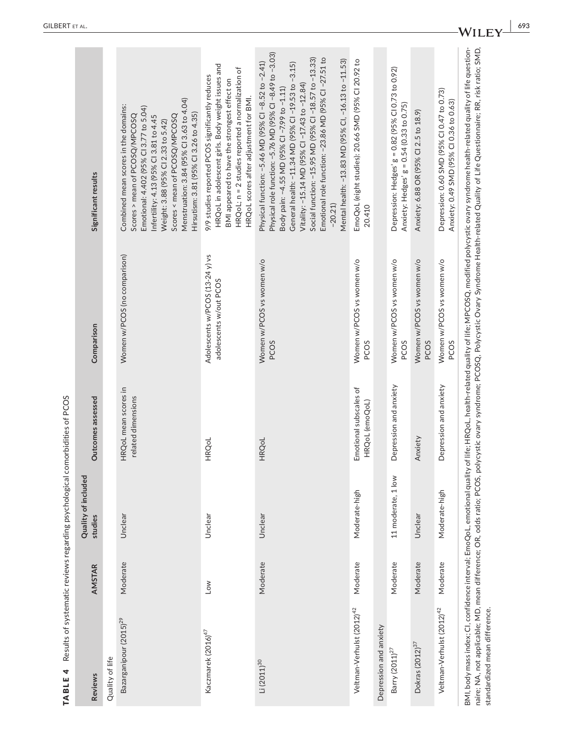| TABLE 4 Results of systematic reviews regarding psychological comorbidities of PCOS |                 |                                             |                                            |                                                           |                                                                                                                                                                                                                                                                                                                                                                                                                                                         |
|-------------------------------------------------------------------------------------|-----------------|---------------------------------------------|--------------------------------------------|-----------------------------------------------------------|---------------------------------------------------------------------------------------------------------------------------------------------------------------------------------------------------------------------------------------------------------------------------------------------------------------------------------------------------------------------------------------------------------------------------------------------------------|
| <b>Reviews</b>                                                                      | <b>AMSTAR</b>   | ್ಲಾ<br><b>Quality of include</b><br>studies | Outcomes assessed                          | Comparison                                                | Significant results                                                                                                                                                                                                                                                                                                                                                                                                                                     |
| Quality of life                                                                     |                 |                                             |                                            |                                                           |                                                                                                                                                                                                                                                                                                                                                                                                                                                         |
| Bazarganipour (2015) <sup>29</sup>                                                  | Moderate        | Unclear                                     | HRQoL mean scores in<br>related dimensions | Women w/PCOS (no comparison)                              | Menstruation: 3.84 (95% Cl 3.63 to 4.04)<br>Combined mean scores in the domains:<br>Emotional: 4.402 (95% Cl 3.77 to 5.04)<br>Hirsutism: 3.81 (95% Cl 3.26 to 4.35)<br>Scores > mean of PCOSQ/MPCOSQ<br>Infertility: 4.13 (95% CI 3.81 to 4.45<br>Scores < mean of PCOSQ/MPCOSQ<br>Weight: 3.88 (95% CI 2.33 to 5.42)                                                                                                                                   |
| Kaczmarek (2016) <sup>47</sup>                                                      | $\overline{10}$ | Unclear                                     | HRQoL                                      | Adolescents w/PCOS (13-24 y) vs<br>adolescents w/out PCOS | HRQoL in adolescent girls. Body weight issues and<br>HRQoL; n = 2 studies reported a normalization of<br>9/9 studies reported PCOS significantly reduces<br>BMI appeared to have the strongest effect on<br>HRQoL scores after adjustment for BMI.                                                                                                                                                                                                      |
| $Li (2011)^{30}$                                                                    | Moderate        | Unclear                                     | HRQoL                                      | Women w/PCOS vs women w/o<br>PCOS                         | Physical role function: -5.76 MD (95% CI -8.49 to -3.03)<br>Social function: -15.95 MD (95% CI -18.57 to -13.33)<br>Emotional role function: -23.86 MD (95% CI-27.51 to<br>Mental health: -13.83 MD (95% CI, -16.13 to -11.53)<br>Physical function: -5.46 MD (95% CI -8.52 to -2.41)<br>General health: -11.34 MD (95% CI -19.53 to -3.15)<br>Vitality: -15.14 MD (95% CI -17.43 to -12.84)<br>Body pain: -4.55 MD (95% CI -7.99 to -1.11)<br>$-20.21$ |
| Veltman-Verhulst (2012) <sup>42</sup>                                               | Moderate        | Moderate-high                               | Emotional subscales of<br>HRQoL (emoQoL)   | Women w/PCOS vs women w/o<br>PCOS                         | EmoQoL (eight studies): 20.66 SMD (95% CI 20.92 to<br>20.410                                                                                                                                                                                                                                                                                                                                                                                            |
| Depression and anxiety                                                              |                 |                                             |                                            |                                                           |                                                                                                                                                                                                                                                                                                                                                                                                                                                         |
| Barry $(2011)^{27}$                                                                 | Moderate        | 11 moderate, 1 low                          | Depression and anxiety                     | Women w/PCOS vs women w/o<br>PCOS                         | Depression: Hedges' g = 0.82 (95% Cl 0.73 to 0.92)<br>Anxiety: Hedges' g = 0.54 (0.33 to 0.75)                                                                                                                                                                                                                                                                                                                                                          |
| Dokras (2012) <sup>37</sup>                                                         | Moderate        | Unclear                                     | Anxiety                                    | Women w/PCOS vs women w/o<br><b>PCOS</b>                  | Anxiety: 6.88 OR (95% CI 2.5 to 18.9)                                                                                                                                                                                                                                                                                                                                                                                                                   |
| Veltman-Verhulst (2012) <sup>42</sup>                                               | Moderate        | Moderate-high                               | Depression and anxiety                     | Women w/PCOS vs women w/o<br><b>PCOS</b>                  | Depression: 0.60 SMD (95% CI 0.47 to 0.73)<br>Anxiety: 0.49 SMD (95% CI 0.36 to 0.63)                                                                                                                                                                                                                                                                                                                                                                   |
| standardized mean difference.                                                       |                 |                                             |                                            |                                                           | BMI, body mass index, CI, confidence interval; EmoQoL, emotional quality of life; HRQoL, health-related quality of life; MPCOSQ, modified polycystic ovary syndrome health-related quality of life question-<br>naire; NA, not applicable; MD, mean difference; OR, odds ratio; PCOS, polycystic ovary syndrome; PCOSQ, Polycystic Ovary Syndrome Health-related Quality of Life Questionnaire; RR, risk ratio; SMD,                                    |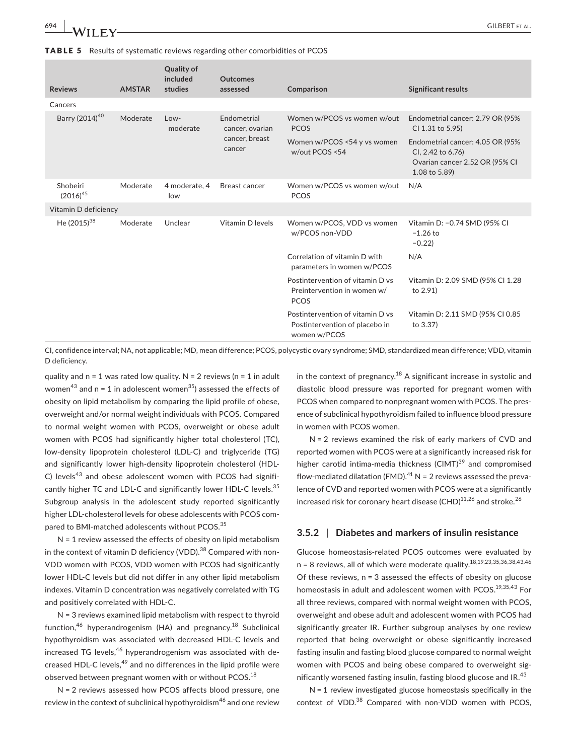TABLE 5 Results of systematic reviews regarding other comorbidities of PCOS

| <b>Reviews</b>             | <b>AMSTAR</b> | <b>Quality of</b><br>included<br>studies | <b>Outcomes</b><br>assessed                                | Comparison                                                                         | <b>Significant results</b>                                                                                |
|----------------------------|---------------|------------------------------------------|------------------------------------------------------------|------------------------------------------------------------------------------------|-----------------------------------------------------------------------------------------------------------|
| Cancers                    |               |                                          |                                                            |                                                                                    |                                                                                                           |
| Barry (2014) <sup>40</sup> | Moderate      | Low-<br>moderate                         | Endometrial<br>cancer, ovarian<br>cancer, breast<br>cancer | Women w/PCOS vs women w/out<br><b>PCOS</b>                                         | Endometrial cancer: 2.79 OR (95%<br>CI 1.31 to 5.95)                                                      |
|                            |               |                                          |                                                            | Women w/PCOS <54 y vs women<br>w/out PCOS <54                                      | Endometrial cancer: 4.05 OR (95%)<br>Cl, 2.42 to 6.76)<br>Ovarian cancer 2.52 OR (95% CI<br>1.08 to 5.89) |
| Shobeiri<br>$(2016)^{45}$  | Moderate      | 4 moderate, 4<br>low                     | Breast cancer                                              | Women w/PCOS vs women w/out<br><b>PCOS</b>                                         | N/A                                                                                                       |
| Vitamin D deficiency       |               |                                          |                                                            |                                                                                    |                                                                                                           |
| He $(2015)^{38}$           | Moderate      | Unclear                                  | Vitamin D levels                                           | Women w/PCOS, VDD vs women<br>w/PCOS non-VDD                                       | Vitamin D: -0.74 SMD (95% CI<br>$-1.26$ to<br>$-0.22$                                                     |
|                            |               |                                          |                                                            | Correlation of vitamin D with<br>parameters in women w/PCOS                        | N/A                                                                                                       |
|                            |               |                                          |                                                            | Postintervention of vitamin D vs<br>Preintervention in women w/<br><b>PCOS</b>     | Vitamin D: 2.09 SMD (95% CI 1.28<br>to 2.91)                                                              |
|                            |               |                                          |                                                            | Postintervention of vitamin D vs<br>Postintervention of placebo in<br>women w/PCOS | Vitamin D: 2.11 SMD (95% CI 0.85<br>to 3.37)                                                              |

CI, confidence interval; NA, not applicable; MD, mean difference; PCOS, polycystic ovary syndrome; SMD, standardized mean difference; VDD, vitamin D deficiency.

quality and  $n = 1$  was rated low quality. N = 2 reviews ( $n = 1$  in adult women<sup>43</sup> and n = 1 in adolescent women<sup>35</sup>) assessed the effects of obesity on lipid metabolism by comparing the lipid profile of obese, overweight and/or normal weight individuals with PCOS. Compared to normal weight women with PCOS, overweight or obese adult women with PCOS had significantly higher total cholesterol (TC), low-density lipoprotein cholesterol (LDL-C) and triglyceride (TG) and significantly lower high-density lipoprotein cholesterol (HDL-C) levels<sup>43</sup> and obese adolescent women with PCOS had significantly higher TC and LDL-C and significantly lower HDL-C levels.<sup>35</sup> Subgroup analysis in the adolescent study reported significantly higher LDL-cholesterol levels for obese adolescents with PCOS compared to BMI-matched adolescents without PCOS.<sup>35</sup>

N = 1 review assessed the effects of obesity on lipid metabolism in the context of vitamin D deficiency (VDD).<sup>38</sup> Compared with non-VDD women with PCOS, VDD women with PCOS had significantly lower HDL-C levels but did not differ in any other lipid metabolism indexes. Vitamin D concentration was negatively correlated with TG and positively correlated with HDL-C.

N = 3 reviews examined lipid metabolism with respect to thyroid function,<sup>46</sup> hyperandrogenism (HA) and pregnancy.<sup>18</sup> Subclinical hypothyroidism was associated with decreased HDL-C levels and increased TG levels, $46$  hyperandrogenism was associated with decreased HDL-C levels,  $49$  and no differences in the lipid profile were observed between pregnant women with or without PCOS.<sup>18</sup>

N = 2 reviews assessed how PCOS affects blood pressure, one review in the context of subclinical hypothyroidism<sup>46</sup> and one review

in the context of pregnancy.<sup>18</sup> A significant increase in systolic and diastolic blood pressure was reported for pregnant women with PCOS when compared to nonpregnant women with PCOS. The presence of subclinical hypothyroidism failed to influence blood pressure in women with PCOS women.

N = 2 reviews examined the risk of early markers of CVD and reported women with PCOS were at a significantly increased risk for higher carotid intima-media thickness (CIMT)<sup>39</sup> and compromised flow-mediated dilatation (FMD).<sup>41</sup> N = 2 reviews assessed the prevalence of CVD and reported women with PCOS were at a significantly increased risk for coronary heart disease  $(CHD)^{11,26}$  and stroke.<sup>26</sup>

# **3.5.2** | **Diabetes and markers of insulin resistance**

Glucose homeostasis-related PCOS outcomes were evaluated by  $n = 8$  reviews, all of which were moderate quality.<sup>18,19,23,35,36,38,43,46</sup> Of these reviews,  $n = 3$  assessed the effects of obesity on glucose homeostasis in adult and adolescent women with PCOS.<sup>19,35,43</sup> For all three reviews, compared with normal weight women with PCOS, overweight and obese adult and adolescent women with PCOS had significantly greater IR. Further subgroup analyses by one review reported that being overweight or obese significantly increased fasting insulin and fasting blood glucose compared to normal weight women with PCOS and being obese compared to overweight significantly worsened fasting insulin, fasting blood glucose and IR. $^{43}$ 

 $N = 1$  review investigated glucose homeostasis specifically in the context of VDD.<sup>38</sup> Compared with non-VDD women with PCOS,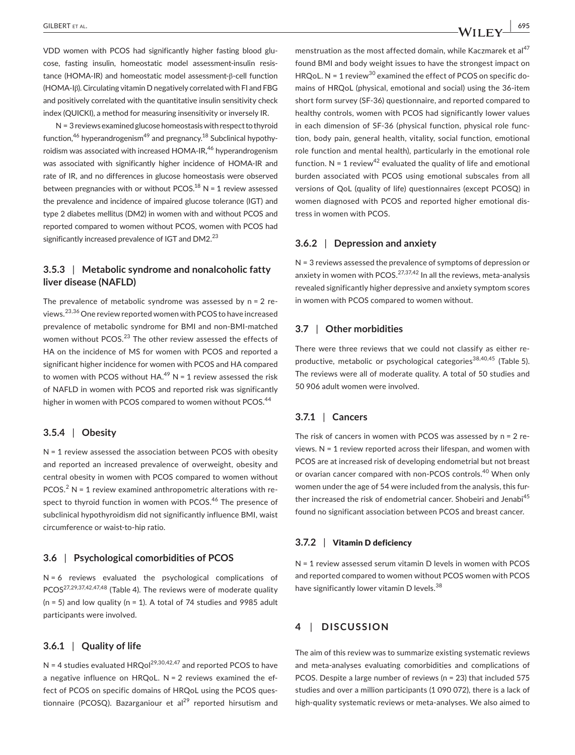VDD women with PCOS had significantly higher fasting blood glucose, fasting insulin, homeostatic model assessment-insulin resistance (HOMA-IR) and homeostatic model assessment-β-cell function (HOMA-Iβ). Circulating vitamin D negatively correlated with FI and FBG and positively correlated with the quantitative insulin sensitivity check index (QUICKI), a method for measuring insensitivity or inversely IR.

 $N = 3$  reviews examined glucose homeostasis with respect to thyroid function,  $46$  hyperandrogenism<sup>49</sup> and pregnancy,  $18$  Subclinical hypothyroidism was associated with increased HOMA-IR,<sup>46</sup> hyperandrogenism was associated with significantly higher incidence of HOMA-IR and rate of IR, and no differences in glucose homeostasis were observed between pregnancies with or without PCOS.<sup>18</sup> N = 1 review assessed the prevalence and incidence of impaired glucose tolerance (IGT) and type 2 diabetes mellitus (DM2) in women with and without PCOS and reported compared to women without PCOS, women with PCOS had significantly increased prevalence of IGT and DM2.<sup>23</sup>

# **3.5.3** | **Metabolic syndrome and nonalcoholic fatty liver disease (NAFLD)**

The prevalence of metabolic syndrome was assessed by  $n = 2$  reviews.23,36 One review reported women with PCOS to have increased prevalence of metabolic syndrome for BMI and non-BMI-matched women without PCOS.<sup>23</sup> The other review assessed the effects of HA on the incidence of MS for women with PCOS and reported a significant higher incidence for women with PCOS and HA compared to women with PCOS without HA. $^{49}$  N = 1 review assessed the risk of NAFLD in women with PCOS and reported risk was significantly higher in women with PCOS compared to women without PCOS.<sup>44</sup>

# **3.5.4** | **Obesity**

N = 1 review assessed the association between PCOS with obesity and reported an increased prevalence of overweight, obesity and central obesity in women with PCOS compared to women without PCOS.<sup>2</sup> N = 1 review examined anthropometric alterations with respect to thyroid function in women with PCOS.<sup>46</sup> The presence of subclinical hypothyroidism did not significantly influence BMI, waist circumference or waist-to-hip ratio.

# **3.6** | **Psychological comorbidities of PCOS**

N = 6 reviews evaluated the psychological complications of PCOS<sup>27,29,37,42,47,48</sup> (Table 4). The reviews were of moderate quality  $(n = 5)$  and low quality  $(n = 1)$ . A total of 74 studies and 9985 adult participants were involved.

# **3.6.1** | **Quality of life**

N = 4 studies evaluated HRQol<sup>29,30,42,47</sup> and reported PCOS to have a negative influence on HRQoL.  $N = 2$  reviews examined the effect of PCOS on specific domains of HRQoL using the PCOS questionnaire (PCOSQ). Bazarganiour et al<sup>29</sup> reported hirsutism and

menstruation as the most affected domain, while Kaczmarek et al $47$ found BMI and body weight issues to have the strongest impact on HRQoL. N = 1 review<sup>30</sup> examined the effect of PCOS on specific domains of HRQoL (physical, emotional and social) using the 36-item short form survey (SF-36) questionnaire, and reported compared to healthy controls, women with PCOS had significantly lower values in each dimension of SF-36 (physical function, physical role function, body pain, general health, vitality, social function, emotional role function and mental health), particularly in the emotional role function.  $N = 1$  review<sup>42</sup> evaluated the quality of life and emotional burden associated with PCOS using emotional subscales from all versions of QoL (quality of life) questionnaires (except PCOSQ) in women diagnosed with PCOS and reported higher emotional distress in women with PCOS.

# **3.6.2** | **Depression and anxiety**

N = 3 reviews assessed the prevalence of symptoms of depression or anxiety in women with PCOS. $27,37,42$  In all the reviews, meta-analysis revealed significantly higher depressive and anxiety symptom scores in women with PCOS compared to women without.

# **3.7** | **Other morbidities**

There were three reviews that we could not classify as either reproductive, metabolic or psychological categories<sup>38,40,45</sup> (Table 5). The reviews were all of moderate quality. A total of 50 studies and 50 906 adult women were involved.

# **3.7.1** | **Cancers**

The risk of cancers in women with PCOS was assessed by n = 2 reviews. N = 1 review reported across their lifespan, and women with PCOS are at increased risk of developing endometrial but not breast or ovarian cancer compared with non-PCOS controls.<sup>40</sup> When only women under the age of 54 were included from the analysis, this further increased the risk of endometrial cancer. Shobeiri and Jenabi<sup>45</sup> found no significant association between PCOS and breast cancer.

### **3.7.2** | Vitamin D deficiency

N = 1 review assessed serum vitamin D levels in women with PCOS and reported compared to women without PCOS women with PCOS have significantly lower vitamin D levels.<sup>38</sup>

# **4** | **DISCUSSION**

The aim of this review was to summarize existing systematic reviews and meta-analyses evaluating comorbidities and complications of PCOS. Despite a large number of reviews (n = 23) that included 575 studies and over a million participants (1 090 072), there is a lack of high-quality systematic reviews or meta-analyses. We also aimed to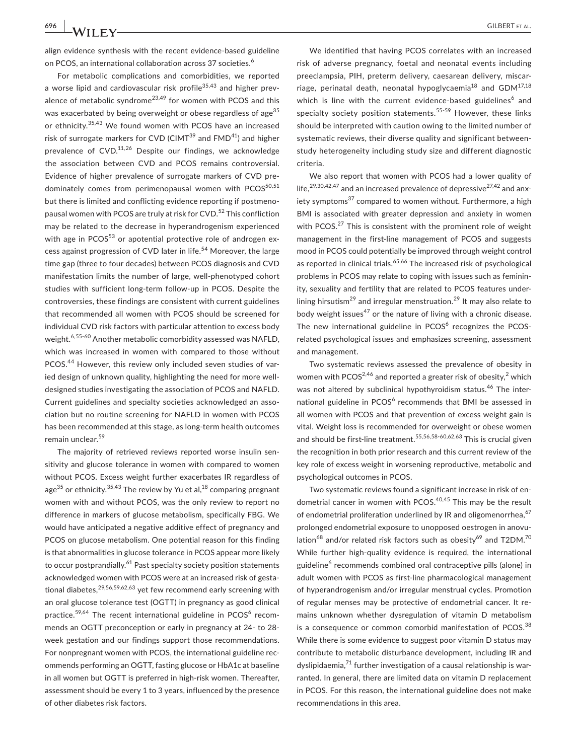For metabolic complications and comorbidities, we reported a worse lipid and cardiovascular risk profile<sup>35,43</sup> and higher prevalence of metabolic syndrome<sup>23,49</sup> for women with PCOS and this was exacerbated by being overweight or obese regardless of age<sup>35</sup> or ethnicity.<sup>35,43</sup> We found women with PCOS have an increased risk of surrogate markers for CVD (CIMT $^{39}$  and FMD $^{41}$ ) and higher prevalence of CVD.<sup>11,26</sup> Despite our findings, we acknowledge the association between CVD and PCOS remains controversial. Evidence of higher prevalence of surrogate markers of CVD predominately comes from perimenopausal women with PCOS<sup>50,51</sup> but there is limited and conflicting evidence reporting if postmenopausal women with PCOS are truly at risk for CVD.<sup>52</sup> This confliction may be related to the decrease in hyperandrogenism experienced with age in  $PCOS^{53}$  or apotential protective role of androgen excess against progression of CVD later in life.<sup>54</sup> Moreover, the large time gap (three to four decades) between PCOS diagnosis and CVD manifestation limits the number of large, well-phenotyped cohort studies with sufficient long-term follow-up in PCOS. Despite the controversies, these findings are consistent with current guidelines that recommended all women with PCOS should be screened for individual CVD risk factors with particular attention to excess body weight.<sup>6,55-60</sup> Another metabolic comorbidity assessed was NAFLD, which was increased in women with compared to those without PCOS.<sup>44</sup> However, this review only included seven studies of varied design of unknown quality, highlighting the need for more welldesigned studies investigating the association of PCOS and NAFLD. Current guidelines and specialty societies acknowledged an association but no routine screening for NAFLD in women with PCOS has been recommended at this stage, as long-term health outcomes remain unclear.<sup>59</sup>

The majority of retrieved reviews reported worse insulin sensitivity and glucose tolerance in women with compared to women without PCOS. Excess weight further exacerbates IR regardless of age $^{35}$  or ethnicity.  $^{35,43}$  The review by Yu et al,  $^{18}$  comparing pregnant women with and without PCOS, was the only review to report no difference in markers of glucose metabolism, specifically FBG. We would have anticipated a negative additive effect of pregnancy and PCOS on glucose metabolism. One potential reason for this finding is that abnormalities in glucose tolerance in PCOS appear more likely to occur postprandially.<sup>61</sup> Past specialty society position statements acknowledged women with PCOS were at an increased risk of gestational diabetes,  $29,56,59,62,63$  yet few recommend early screening with an oral glucose tolerance test (OGTT) in pregnancy as good clinical practice.<sup>59,64</sup> The recent international guideline in PCOS<sup>6</sup> recommends an OGTT preconception or early in pregnancy at 24- to 28 week gestation and our findings support those recommendations. For nonpregnant women with PCOS, the international guideline recommends performing an OGTT, fasting glucose or HbA1c at baseline in all women but OGTT is preferred in high-risk women. Thereafter, assessment should be every 1 to 3 years, influenced by the presence of other diabetes risk factors.

We identified that having PCOS correlates with an increased risk of adverse pregnancy, foetal and neonatal events including preeclampsia, PIH, preterm delivery, caesarean delivery, miscarriage, perinatal death, neonatal hypoglycaemia<sup>18</sup> and GDM<sup>17,18</sup> which is line with the current evidence-based guidelines<sup>6</sup> and specialty society position statements.<sup>55-59</sup> However, these links should be interpreted with caution owing to the limited number of systematic reviews, their diverse quality and significant betweenstudy heterogeneity including study size and different diagnostic criteria.

We also report that women with PCOS had a lower quality of life,<sup>29,30,42,47</sup> and an increased prevalence of depressive<sup>27,42</sup> and anxiety symptoms<sup>37</sup> compared to women without. Furthermore, a high BMI is associated with greater depression and anxiety in women with PCOS.<sup>27</sup> This is consistent with the prominent role of weight management in the first-line management of PCOS and suggests mood in PCOS could potentially be improved through weight control as reported in clinical trials.<sup>65,66</sup> The increased risk of psychological problems in PCOS may relate to coping with issues such as femininity, sexuality and fertility that are related to PCOS features underlining hirsutism<sup>29</sup> and irregular menstruation.<sup>29</sup> It may also relate to body weight issues<sup>47</sup> or the nature of living with a chronic disease. The new international guideline in  $PCOS<sup>6</sup>$  recognizes the PCOSrelated psychological issues and emphasizes screening, assessment and management.

Two systematic reviews assessed the prevalence of obesity in women with PCOS<sup>2,46</sup> and reported a greater risk of obesity,<sup>2</sup> which was not altered by subclinical hypothyroidism status.<sup>46</sup> The international guideline in PCOS<sup>6</sup> recommends that BMI be assessed in all women with PCOS and that prevention of excess weight gain is vital. Weight loss is recommended for overweight or obese women and should be first-line treatment.<sup>55,56,58-60,62,63</sup> This is crucial given the recognition in both prior research and this current review of the key role of excess weight in worsening reproductive, metabolic and psychological outcomes in PCOS.

Two systematic reviews found a significant increase in risk of endometrial cancer in women with PCOS.<sup>40,45</sup> This may be the result of endometrial proliferation underlined by IR and oligomenorrhea,  $67$ prolonged endometrial exposure to unopposed oestrogen in anovulation<sup>68</sup> and/or related risk factors such as obesity<sup>69</sup> and T2DM.<sup>70</sup> While further high-quality evidence is required, the international guideline<sup>6</sup> recommends combined oral contraceptive pills (alone) in adult women with PCOS as first-line pharmacological management of hyperandrogenism and/or irregular menstrual cycles. Promotion of regular menses may be protective of endometrial cancer. It remains unknown whether dysregulation of vitamin D metabolism is a consequence or common comorbid manifestation of PCOS. $38$ While there is some evidence to suggest poor vitamin D status may contribute to metabolic disturbance development, including IR and dyslipidaemia, $71$  further investigation of a causal relationship is warranted. In general, there are limited data on vitamin D replacement in PCOS. For this reason, the international guideline does not make recommendations in this area.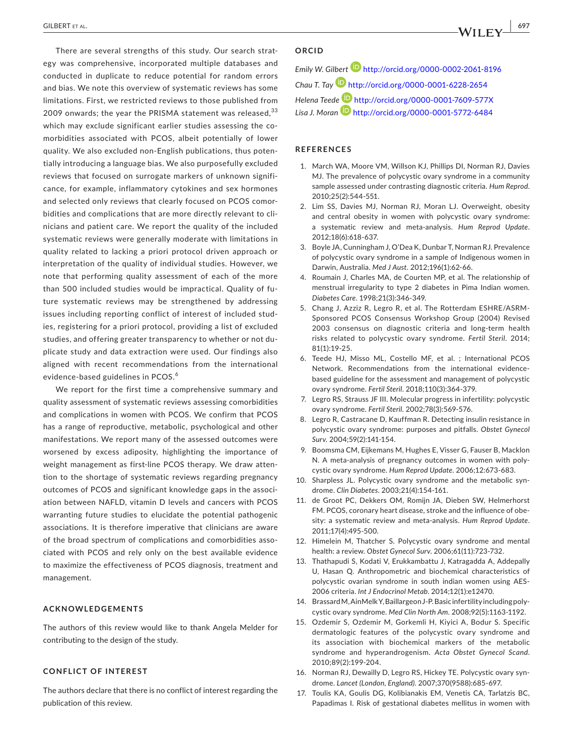There are several strengths of this study. Our search strategy was comprehensive, incorporated multiple databases and conducted in duplicate to reduce potential for random errors and bias. We note this overview of systematic reviews has some limitations. First, we restricted reviews to those published from 2009 onwards; the year the PRISMA statement was released,  $33$ which may exclude significant earlier studies assessing the comorbidities associated with PCOS, albeit potentially of lower quality. We also excluded non-English publications, thus potentially introducing a language bias. We also purposefully excluded reviews that focused on surrogate markers of unknown significance, for example, inflammatory cytokines and sex hormones and selected only reviews that clearly focused on PCOS comorbidities and complications that are more directly relevant to clinicians and patient care. We report the quality of the included systematic reviews were generally moderate with limitations in quality related to lacking a priori protocol driven approach or interpretation of the quality of individual studies. However, we note that performing quality assessment of each of the more than 500 included studies would be impractical. Quality of future systematic reviews may be strengthened by addressing issues including reporting conflict of interest of included studies, registering for a priori protocol, providing a list of excluded studies, and offering greater transparency to whether or not duplicate study and data extraction were used. Our findings also aligned with recent recommendations from the international evidence-based guidelines in PCOS.<sup>6</sup>

We report for the first time a comprehensive summary and quality assessment of systematic reviews assessing comorbidities and complications in women with PCOS. We confirm that PCOS has a range of reproductive, metabolic, psychological and other manifestations. We report many of the assessed outcomes were worsened by excess adiposity, highlighting the importance of weight management as first-line PCOS therapy. We draw attention to the shortage of systematic reviews regarding pregnancy outcomes of PCOS and significant knowledge gaps in the association between NAFLD, vitamin D levels and cancers with PCOS warranting future studies to elucidate the potential pathogenic associations. It is therefore imperative that clinicians are aware of the broad spectrum of complications and comorbidities associated with PCOS and rely only on the best available evidence to maximize the effectiveness of PCOS diagnosis, treatment and management.

# **ACKNOWLEDGEMENTS**

The authors of this review would like to thank Angela Melder for contributing to the design of the study.

# **CONFLICT OF INTEREST**

The authors declare that there is no conflict of interest regarding the publication of this review.

# **ORCID**

*Emily W. Gilbert* <http://orcid.org/0000-0002-2061-8196> *Chau T. Ta[y](http://orcid.org/0000-0001-6228-2654)* <http://orcid.org/0000-0001-6228-2654> *Helena Teed[e](http://orcid.org/0000-0001-5772-6484)* <http://orcid.org/0000-0001-7609-577X> *Lisa J. Moran* <http://orcid.org/0000-0001-5772-6484>

### **REFERENCES**

- 1. March WA, Moore VM, Willson KJ, Phillips DI, Norman RJ, Davies MJ. The prevalence of polycystic ovary syndrome in a community sample assessed under contrasting diagnostic criteria. *Hum Reprod*. 2010;25(2):544‐551.
- 2. Lim SS, Davies MJ, Norman RJ, Moran LJ, Overweight, obesity and central obesity in women with polycystic ovary syndrome: a systematic review and meta-analysis. *Hum Reprod Update*. 2012;18(6):618‐637.
- 3. Boyle JA, Cunningham J, O'Dea K, Dunbar T, Norman RJ. Prevalence of polycystic ovary syndrome in a sample of Indigenous women in Darwin, Australia. *Med J Aust*. 2012;196(1):62‐66.
- 4. Roumain J, Charles MA, de Courten MP, et al. The relationship of menstrual irregularity to type 2 diabetes in Pima Indian women. *Diabetes Care*. 1998;21(3):346‐349.
- 5. Chang J, Azziz R, Legro R, et al. The Rotterdam ESHRE/ASRM-Sponsored PCOS Consensus Workshop Group (2004) Revised 2003 consensus on diagnostic criteria and long-term health risks related to polycystic ovary syndrome. *Fertil Steril*. 2014; 81(1):19‐25.
- 6. Teede HJ, Misso ML, Costello MF, et al. ; International PCOS Network. Recommendations from the international evidencebased guideline for the assessment and management of polycystic ovary syndrome. *Fertil Steril*. 2018;110(3):364‐379.
- 7. Legro RS, Strauss JF III. Molecular progress in infertility: polycystic ovary syndrome. *Fertil Steril*. 2002;78(3):569‐576.
- 8. Legro R, Castracane D, Kauffman R. Detecting insulin resistance in polycystic ovary syndrome: purposes and pitfalls. *Obstet Gynecol Surv*. 2004;59(2):141‐154.
- 9. Boomsma CM, Eijkemans M, Hughes E, Visser G, Fauser B, Macklon N. A meta-analysis of pregnancy outcomes in women with polycystic ovary syndrome. *Hum Reprod Update*. 2006;12:673‐683.
- 10. Sharpless JL. Polycystic ovary syndrome and the metabolic syndrome. *Clin Diabetes*. 2003;21(4):154‐161.
- 11. de Groot PC, Dekkers OM, Romijn JA, Dieben SW, Helmerhorst FM. PCOS, coronary heart disease, stroke and the influence of obesity: a systematic review and meta-analysis. *Hum Reprod Update*. 2011;17(4):495‐500.
- 12. Himelein M, Thatcher S. Polycystic ovary syndrome and mental health: a review. *Obstet Gynecol Surv*. 2006;61(11):723‐732.
- 13. Thathapudi S, Kodati V, Erukkambattu J, Katragadda A, Addepally U, Hasan Q. Anthropometric and biochemical characteristics of polycystic ovarian syndrome in south indian women using AES-2006 criteria. *Int J Endocrinol Metab*. 2014;12(1):e12470.
- 14. Brassard M, Ain Melk Y, Baillargeon J-P. Basic infertility including polycystic ovary syndrome. *Med Clin North Am*. 2008;92(5):1163‐1192.
- 15. Ozdemir S, Ozdemir M, Gorkemli H, Kiyici A, Bodur S. Specific dermatologic features of the polycystic ovary syndrome and its association with biochemical markers of the metabolic syndrome and hyperandrogenism. *Acta Obstet Gynecol Scand*. 2010;89(2):199‐204.
- 16. Norman RJ, Dewailly D, Legro RS, Hickey TE. Polycystic ovary syndrome. *Lancet (London, England)*. 2007;370(9588):685‐697.
- 17. Toulis KA, Goulis DG, Kolibianakis EM, Venetis CA, Tarlatzis BC, Papadimas I. Risk of gestational diabetes mellitus in women with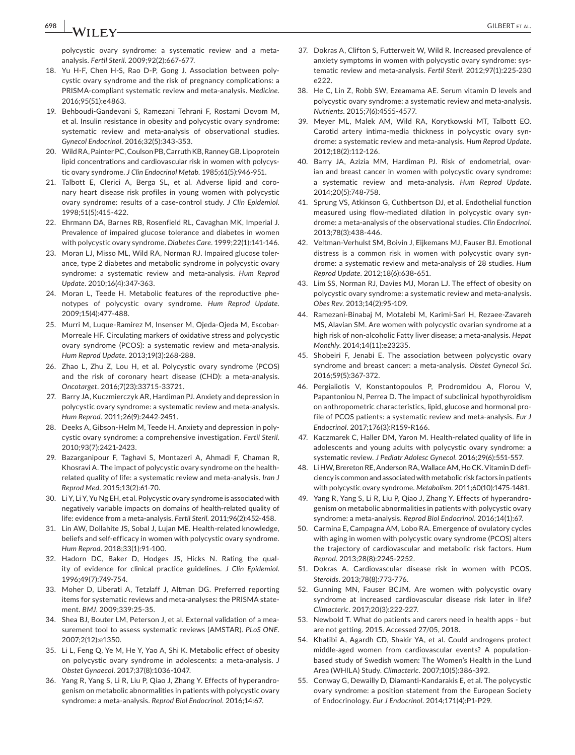**698 |**  GILBERT et al.

polycystic ovary syndrome: a systematic review and a metaanalysis. *Fertil Steril*. 2009;92(2):667‐677.

- 18. Yu H-F, Chen H-S, Rao D-P, Gong J. Association between polycystic ovary syndrome and the risk of pregnancy complications: a PRISMA-compliant systematic review and meta-analysis. *Medicine*. 2016;95(51):e4863.
- 19. Behboudi-Gandevani S, Ramezani Tehrani F, Rostami Dovom M, et al. Insulin resistance in obesity and polycystic ovary syndrome: systematic review and meta-analysis of observational studies. *Gynecol Endocrinol*. 2016;32(5):343‐353.
- 20. Wild RA, Painter PC, Coulson PB, Carruth KB, Ranney GB, Lipoprotein lipid concentrations and cardiovascular risk in women with polycystic ovary syndrome. *J Clin Endocrinol Metab*. 1985;61(5):946‐951.
- 21. Talbott E, Clerici A, Berga SL, et al. Adverse lipid and coronary heart disease risk profiles in young women with polycystic ovary syndrome: results of a case-control study. *J Clin Epidemiol*. 1998;51(5):415‐422.
- 22. Ehrmann DA, Barnes RB, Rosenfield RL, Cavaghan MK, Imperial J. Prevalence of impaired glucose tolerance and diabetes in women with polycystic ovary syndrome. *Diabetes Care*. 1999;22(1):141‐146.
- 23. Moran LJ, Misso ML, Wild RA, Norman RJ. Impaired glucose tolerance, type 2 diabetes and metabolic syndrome in polycystic ovary syndrome: a systematic review and meta-analysis. *Hum Reprod Update*. 2010;16(4):347‐363.
- 24. Moran L, Teede H. Metabolic features of the reproductive phenotypes of polycystic ovary syndrome. *Hum Reprod Update*. 2009;15(4):477‐488.
- 25. Murri M, Luque-Ramirez M, Insenser M, Ojeda-Ojeda M, Escobar-Morreale HF. Circulating markers of oxidative stress and polycystic ovary syndrome (PCOS): a systematic review and meta-analysis. *Hum Reprod Update*. 2013;19(3):268‐288.
- 26. Zhao L, Zhu Z, Lou H, et al. Polycystic ovary syndrome (PCOS) and the risk of coronary heart disease (CHD): a meta-analysis. *Oncotarget*. 2016;7(23):33715‐33721.
- 27. Barry JA, Kuczmierczyk AR, Hardiman PJ. Anxiety and depression in polycystic ovary syndrome: a systematic review and meta-analysis. *Hum Reprod*. 2011;26(9):2442‐2451.
- 28. Deeks A, Gibson-Helm M, Teede H. Anxiety and depression in polycystic ovary syndrome: a comprehensive investigation. *Fertil Steril*. 2010;93(7):2421‐2423.
- 29. Bazarganipour F, Taghavi S, Montazeri A, Ahmadi F, Chaman R, Khosravi A. The impact of polycystic ovary syndrome on the healthrelated quality of life: a systematic review and meta-analysis. *Iran J Reprod Med*. 2015;13(2):61‐70.
- 30. Li Y, Li Y, Yu Ng EH, et al. Polycystic ovary syndrome is associated with negatively variable impacts on domains of health-related quality of life: evidence from a meta-analysis. *Fertil Steril*. 2011;96(2):452‐458.
- 31. Lin AW, Dollahite JS, Sobal J, Lujan ME. Health-related knowledge, beliefs and self-efficacy in women with polycystic ovary syndrome. *Hum Reprod*. 2018;33(1):91‐100.
- 32. Hadorn DC, Baker D, Hodges JS, Hicks N. Rating the quality of evidence for clinical practice guidelines. *J Clin Epidemiol*. 1996;49(7):749‐754.
- 33. Moher D, Liberati A, Tetzlaff J, Altman DG. Preferred reporting items for systematic reviews and meta-analyses: the PRISMA statement. *BMJ*. 2009;339:25‐35.
- 34. Shea BJ, Bouter LM, Peterson J, et al. External validation of a measurement tool to assess systematic reviews (AMSTAR). *PLoS ONE*. 2007;2(12):e1350.
- 35. Li L, Feng Q, Ye M, He Y, Yao A, Shi K. Metabolic effect of obesity on polycystic ovary syndrome in adolescents: a meta-analysis. *J Obstet Gynaecol*. 2017;37(8):1036‐1047.
- 36. Yang R, Yang S, Li R, Liu P, Qiao J, Zhang Y. Effects of hyperandrogenism on metabolic abnormalities in patients with polycystic ovary syndrome: a meta-analysis. *Reprod Biol Endocrinol*. 2016;14:67.
- 37. Dokras A, Clifton S, Futterweit W, Wild R, Increased prevalence of anxiety symptoms in women with polycystic ovary syndrome: systematic review and meta-analysis. *Fertil Steril*. 2012;97(1):225‐230  $6222$
- 38. He C, Lin Z, Robb SW, Ezeamama AE. Serum vitamin D levels and polycystic ovary syndrome: a systematic review and meta-analysis. *Nutrients*. 2015;7(6):4555‐4577.
- 39. Meyer ML, Malek AM, Wild RA, Korytkowski MT, Talbott EO. Carotid artery intima-media thickness in polycystic ovary syndrome: a systematic review and meta-analysis. *Hum Reprod Update*. 2012;18(2):112‐126.
- 40. Barry JA, Azizia MM, Hardiman PJ. Risk of endometrial, ovarian and breast cancer in women with polycystic ovary syndrome: a systematic review and meta-analysis. *Hum Reprod Update*. 2014;20(5):748‐758.
- 41. Sprung VS, Atkinson G, Cuthbertson DJ, et al. Endothelial function measured using flow-mediated dilation in polycystic ovary syndrome: a meta-analysis of the observational studies. *Clin Endocrinol*. 2013;78(3):438‐446.
- 42. Veltman-Verhulst SM, Boivin J, Eijkemans MJ, Fauser BJ. Emotional distress is a common risk in women with polycystic ovary syndrome: a systematic review and meta-analysis of 28 studies. *Hum Reprod Update*. 2012;18(6):638‐651.
- 43. Lim SS, Norman RJ, Davies MJ, Moran LJ. The effect of obesity on polycystic ovary syndrome: a systematic review and meta-analysis. *Obes Rev*. 2013;14(2):95‐109.
- 44. Ramezani-Binabaj M, Motalebi M, Karimi-Sari H, Rezaee-Zavareh MS, Alavian SM. Are women with polycystic ovarian syndrome at a high risk of non-alcoholic Fatty liver disease; a meta-analysis. *Hepat Monthly*. 2014;14(11):e23235.
- 45. Shobeiri F, Jenabi E. The association between polycystic ovary syndrome and breast cancer: a meta-analysis. *Obstet Gynecol Sci*. 2016;59(5):367‐372.
- 46. Pergialiotis V, Konstantopoulos P, Prodromidou A, Florou V, Papantoniou N, Perrea D. The impact of subclinical hypothyroidism on anthropometric characteristics, lipid, glucose and hormonal profile of PCOS patients: a systematic review and meta-analysis. *Eur J Endocrinol*. 2017;176(3):R159‐R166.
- 47. Kaczmarek C, Haller DM, Yaron M. Health-related quality of life in adolescents and young adults with polycystic ovary syndrome: a systematic review. *J Pediatr Adolesc Gynecol*. 2016;29(6):551‐557.
- 48. LiHW, Brereton RE, Anderson RA, Wallace AM, Ho CK. Vitamin D deficiency is common and associated with metabolic risk factors in patients with polycystic ovary syndrome. *Metabolism*. 2011;60(10):1475‐1481.
- 49. Yang R, Yang S, Li R, Liu P, Qiao J, Zhang Y. Effects of hyperandrogenism on metabolic abnormalities in patients with polycystic ovary syndrome: a meta-analysis. *Reprod Biol Endocrinol*. 2016;14(1):67.
- 50. Carmina E, Campagna AM, Lobo RA. Emergence of ovulatory cycles with aging in women with polycystic ovary syndrome (PCOS) alters the trajectory of cardiovascular and metabolic risk factors. *Hum Reprod*. 2013;28(8):2245‐2252.
- 51. Dokras A. Cardiovascular disease risk in women with PCOS. *Steroids*. 2013;78(8):773‐776.
- 52. Gunning MN, Fauser BCJM. Are women with polycystic ovary syndrome at increased cardiovascular disease risk later in life? *Climacteric*. 2017;20(3):222‐227.
- 53. Newbold T. What do patients and carers need in health apps but are not getting. 2015. Accessed 27/05, 2018.
- 54. Khatibi A, Agardh CD, Shakir YA, et al. Could androgens protect middle-aged women from cardiovascular events? A populationbased study of Swedish women: The Women's Health in the Lund Area (WHILA) Study. *Climacteric*. 2007;10(5):386‐392.
- 55. Conway G, Dewailly D, Diamanti-Kandarakis E, et al. The polycystic ovary syndrome: a position statement from the European Society of Endocrinology. *Eur J Endocrinol*. 2014;171(4):P1‐P29.